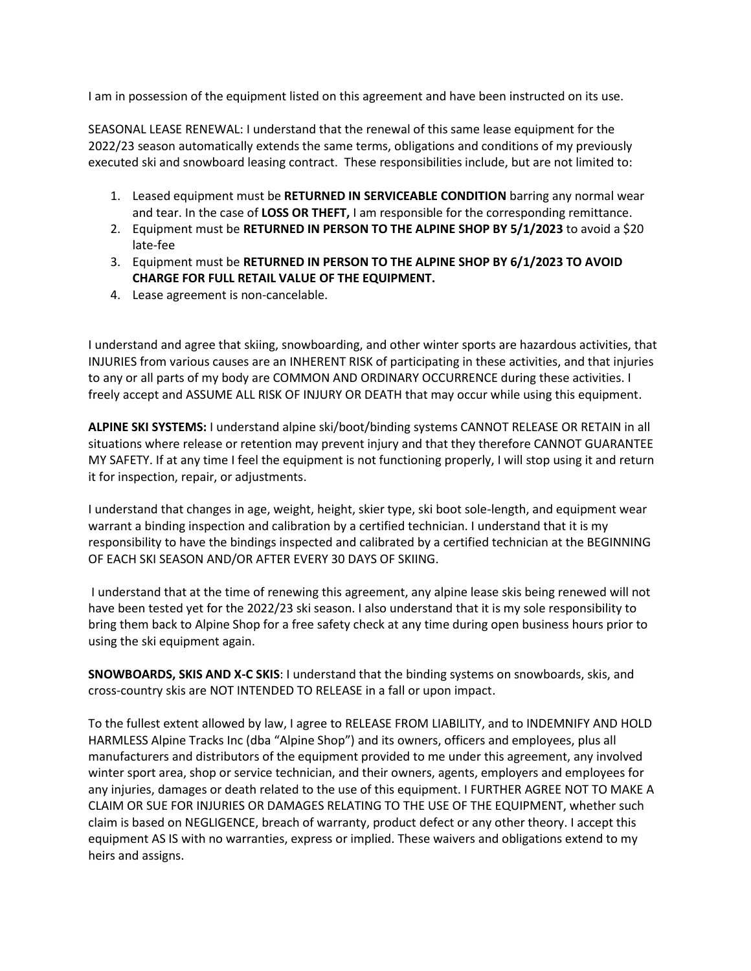I am in possession of the equipment listed on this agreement and have been instructed on its use.

SEASONAL LEASE RENEWAL: I understand that the renewal of this same lease equipment for the 2022/23 season automatically extends the same terms, obligations and conditions of my previously executed ski and snowboard leasing contract. These responsibilities include, but are not limited to:

- 1. Leased equipment must be **RETURNED IN SERVICEABLE CONDITION** barring any normal wear and tear. In the case of **LOSS OR THEFT,** I am responsible for the corresponding remittance.
- 2. Equipment must be **RETURNED IN PERSON TO THE ALPINE SHOP BY 5/1/2023** to avoid a \$20 late-fee
- 3. Equipment must be **RETURNED IN PERSON TO THE ALPINE SHOP BY 6/1/2023 TO AVOID CHARGE FOR FULL RETAIL VALUE OF THE EQUIPMENT.**
- 4. Lease agreement is non-cancelable.

I understand and agree that skiing, snowboarding, and other winter sports are hazardous activities, that INJURIES from various causes are an INHERENT RISK of participating in these activities, and that injuries to any or all parts of my body are COMMON AND ORDINARY OCCURRENCE during these activities. I freely accept and ASSUME ALL RISK OF INJURY OR DEATH that may occur while using this equipment.

**ALPINE SKI SYSTEMS:** I understand alpine ski/boot/binding systems CANNOT RELEASE OR RETAIN in all situations where release or retention may prevent injury and that they therefore CANNOT GUARANTEE MY SAFETY. If at any time I feel the equipment is not functioning properly, I will stop using it and return it for inspection, repair, or adjustments.

I understand that changes in age, weight, height, skier type, ski boot sole-length, and equipment wear warrant a binding inspection and calibration by a certified technician. I understand that it is my responsibility to have the bindings inspected and calibrated by a certified technician at the BEGINNING OF EACH SKI SEASON AND/OR AFTER EVERY 30 DAYS OF SKIING.

I understand that at the time of renewing this agreement, any alpine lease skis being renewed will not have been tested yet for the 2022/23 ski season. I also understand that it is my sole responsibility to bring them back to Alpine Shop for a free safety check at any time during open business hours prior to using the ski equipment again.

**SNOWBOARDS, SKIS AND X-C SKIS**: I understand that the binding systems on snowboards, skis, and cross-country skis are NOT INTENDED TO RELEASE in a fall or upon impact.

To the fullest extent allowed by law, I agree to RELEASE FROM LIABILITY, and to INDEMNIFY AND HOLD HARMLESS Alpine Tracks Inc (dba "Alpine Shop") and its owners, officers and employees, plus all manufacturers and distributors of the equipment provided to me under this agreement, any involved winter sport area, shop or service technician, and their owners, agents, employers and employees for any injuries, damages or death related to the use of this equipment. I FURTHER AGREE NOT TO MAKE A CLAIM OR SUE FOR INJURIES OR DAMAGES RELATING TO THE USE OF THE EQUIPMENT, whether such claim is based on NEGLIGENCE, breach of warranty, product defect or any other theory. I accept this equipment AS IS with no warranties, express or implied. These waivers and obligations extend to my heirs and assigns.